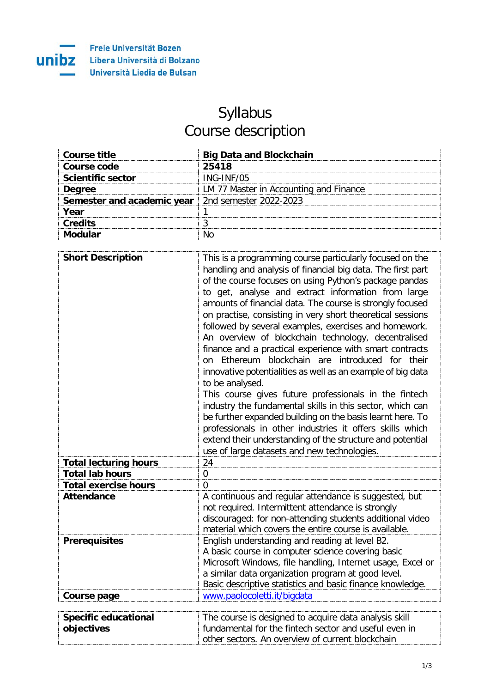

## Syllabus Course description

| Course title                                               | <b>Big Data and Blockchain</b>         |
|------------------------------------------------------------|----------------------------------------|
| Course code                                                | 25418                                  |
| <b>Scientific sector</b>                                   | ING-INF/05                             |
| <b>Degree</b>                                              | LM 77 Master in Accounting and Finance |
| <b>Semester and academic year</b>   2nd semester 2022-2023 |                                        |
| Year                                                       |                                        |
| Credits                                                    |                                        |
|                                                            |                                        |

| <b>Short Description</b>     | This is a programming course particularly focused on the                                                        |
|------------------------------|-----------------------------------------------------------------------------------------------------------------|
|                              | handling and analysis of financial big data. The first part                                                     |
|                              | of the course focuses on using Python's package pandas                                                          |
|                              | to get, analyse and extract information from large                                                              |
|                              | amounts of financial data. The course is strongly focused                                                       |
|                              | on practise, consisting in very short theoretical sessions                                                      |
|                              | followed by several examples, exercises and homework.                                                           |
|                              | An overview of blockchain technology, decentralised                                                             |
|                              | finance and a practical experience with smart contracts<br>on Ethereum blockchain are introduced for their      |
|                              | innovative potentialities as well as an example of big data                                                     |
|                              | to be analysed.                                                                                                 |
|                              | This course gives future professionals in the fintech                                                           |
|                              | industry the fundamental skills in this sector, which can                                                       |
|                              | be further expanded building on the basis learnt here. To                                                       |
|                              | professionals in other industries it offers skills which                                                        |
|                              | extend their understanding of the structure and potential                                                       |
|                              | use of large datasets and new technologies.                                                                     |
| <b>Total lecturing hours</b> | 24                                                                                                              |
| <b>Total lab hours</b>       | $\overline{0}$                                                                                                  |
| <b>Total exercise hours</b>  | $\overline{0}$                                                                                                  |
| <b>Attendance</b>            | A continuous and regular attendance is suggested, but<br>not required. Intermittent attendance is strongly      |
|                              | discouraged: for non-attending students additional video                                                        |
|                              | material which covers the entire course is available.                                                           |
| <b>Prerequisites</b>         | English understanding and reading at level B2.                                                                  |
|                              | A basic course in computer science covering basic<br>Microsoft Windows, file handling, Internet usage, Excel or |
|                              | a similar data organization program at good level.                                                              |
|                              | Basic descriptive statistics and basic finance knowledge.                                                       |
| <b>Course page</b>           | www.paolocoletti.it/bigdata                                                                                     |
|                              |                                                                                                                 |
| <b>Specific educational</b>  | The course is designed to acquire data analysis skill                                                           |
| objectives                   | fundamental for the fintech sector and useful even in                                                           |
|                              | other sectors. An overview of current blockchain                                                                |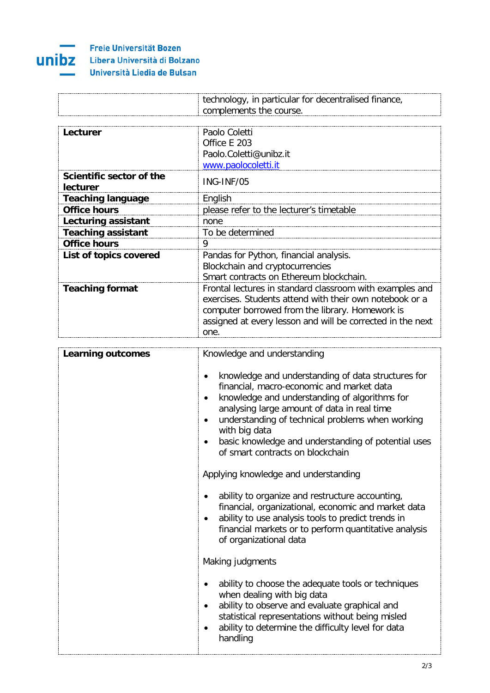

## Freie Universität Bozen Libera Università di Bolzano Università Liedia de Bulsan

| narticular<br>$  -$<br><sub>in</sub><br>aer<br>01 N<br>าง<br>ום־<br>-<br>ີ |
|----------------------------------------------------------------------------|
| د ۱۰<br>אוום                                                               |

| Lecturer                             | Paolo Coletti<br>Office F 203<br>Paolo.Coletti@unibz.it                                                                                                                                                                                      |
|--------------------------------------|----------------------------------------------------------------------------------------------------------------------------------------------------------------------------------------------------------------------------------------------|
| Scientific sector of the<br>lecturer | www.paolocoletti.it<br>ING-INF/05                                                                                                                                                                                                            |
| <b>Teaching language</b>             | English                                                                                                                                                                                                                                      |
| <b>Office hours</b>                  | please refer to the lecturer's timetable                                                                                                                                                                                                     |
| Lecturing assistant                  | none                                                                                                                                                                                                                                         |
| <b>Teaching assistant</b>            | To be determined                                                                                                                                                                                                                             |
| <b>Office hours</b>                  | 9                                                                                                                                                                                                                                            |
| List of topics covered               | Pandas for Python, financial analysis.<br>Blockchain and cryptocurrencies<br>Smart contracts on Ethereum blockchain.                                                                                                                         |
| <b>Teaching format</b>               | Frontal lectures in standard classroom with examples and<br>exercises. Students attend with their own notebook or a<br>computer borrowed from the library. Homework is<br>assigned at every lesson and will be corrected in the next<br>one. |

| <b>Learning outcomes</b> | Knowledge and understanding                                                                                                                                                                                                                                                                                                                                                                             |
|--------------------------|---------------------------------------------------------------------------------------------------------------------------------------------------------------------------------------------------------------------------------------------------------------------------------------------------------------------------------------------------------------------------------------------------------|
|                          | knowledge and understanding of data structures for<br>financial, macro-economic and market data<br>knowledge and understanding of algorithms for<br>analysing large amount of data in real time<br>understanding of technical problems when working<br>with big data<br>basic knowledge and understanding of potential uses<br>of smart contracts on blockchain<br>Applying knowledge and understanding |
|                          | ability to organize and restructure accounting,<br>financial, organizational, economic and market data<br>ability to use analysis tools to predict trends in<br>financial markets or to perform quantitative analysis<br>of organizational data                                                                                                                                                         |
|                          | Making judgments                                                                                                                                                                                                                                                                                                                                                                                        |
|                          | ability to choose the adequate tools or techniques<br>when dealing with big data<br>ability to observe and evaluate graphical and<br>statistical representations without being misled<br>ability to determine the difficulty level for data<br>handling                                                                                                                                                 |